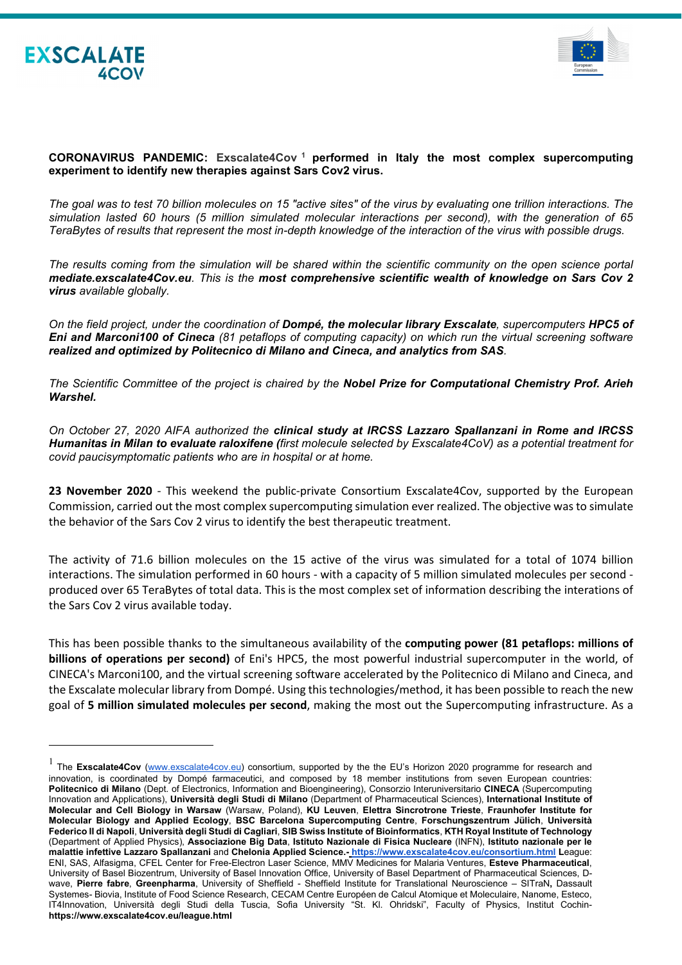



## **CORONAVIRUS PANDEMIC: Exscalate4Cov [1](#page-0-0) performed in Italy the most complex supercomputing experiment to identify new therapies against Sars Cov2 virus.**

*The goal was to test 70 billion molecules on 15 "active sites" of the virus by evaluating one trillion interactions. The simulation lasted 60 hours (5 million simulated molecular interactions per second), with the generation of 65 TeraBytes of results that represent the most in-depth knowledge of the interaction of the virus with possible drugs.*

*The results coming from the simulation will be shared within the scientific community on the open science portal mediate.exscalate4Cov.eu. This is the most comprehensive scientific wealth of knowledge on Sars Cov 2 virus available globally.* 

*On the field project, under the coordination of Dompé, the molecular library Exscalate, supercomputers HPC5 of Eni and Marconi100 of Cineca (81 petaflops of computing capacity) on which run the virtual screening software realized and optimized by Politecnico di Milano and Cineca, and analytics from SAS.*

*The Scientific Committee of the project is chaired by the Nobel Prize for Computational Chemistry Prof. Arieh Warshel.*

*On October 27, 2020 AIFA authorized the clinical study at IRCSS Lazzaro Spallanzani in Rome and IRCSS Humanitas in Milan to evaluate raloxifene (first molecule selected by Exscalate4CoV) as a potential treatment for covid paucisymptomatic patients who are in hospital or at home.*

**23 November 2020** - This weekend the public-private Consortium Exscalate4Cov, supported by the European Commission, carried out the most complex supercomputing simulation ever realized. The objective wasto simulate the behavior of the Sars Cov 2 virus to identify the best therapeutic treatment.

The activity of 71.6 billion molecules on the 15 active of the virus was simulated for a total of 1074 billion interactions. The simulation performed in 60 hours - with a capacity of 5 million simulated molecules per second produced over 65 TeraBytes of total data. This is the most complex set of information describing the interations of the Sars Cov 2 virus available today.

This has been possible thanks to the simultaneous availability of the **computing power (81 petaflops: millions of billions of operations per second)** of Eni's HPC5, the most powerful industrial supercomputer in the world, of CINECA's Marconi100, and the virtual screening software accelerated by the Politecnico di Milano and Cineca, and the Exscalate molecular library from Dompé. Using this technologies/method, it has been possible to reach the new goal of **5 million simulated molecules per second**, making the most out the Supercomputing infrastructure. As a

<span id="page-0-0"></span><sup>&</sup>lt;sup>1</sup> The Exscalate4Cov [\(www.exscalate4cov.eu\)](http://www.exscalate4cov.eu/) consortium, supported by the the EU's Horizon 2020 programme for research and innovation, is coordinated by Dompé farmaceutici, and composed by 18 member institutions from seven European countries: **Politecnico di Milano** (Dept. of Electronics, Information and Bioengineering), Consorzio Interuniversitario **CINECA** (Supercomputing Innovation and Applications), **Università degli Studi di Milano** (Department of Pharmaceutical Sciences), **International Institute of Molecular and Cell Biology in Warsaw** (Warsaw, Poland), **KU Leuven**, **Elettra Sincrotrone Trieste**, **Fraunhofer Institute for Molecular Biology and Applied Ecology**, **BSC Barcelona Supercomputing Centre**, **Forschungszentrum Jülich**, **Università Federico II di Napoli**, **Università degli Studi di Cagliari**, **SIB Swiss Institute of Bioinformatics**, **KTH Royal Institute of Technology** (Department of Applied Physics), **Associazione Big Data**, **Istituto Nazionale di Fisica Nucleare** (INFN), **Istituto nazionale per le malattie infettive Lazzaro Spallanzani** and **Chelonia Applied Science.- <https://www.exscalate4cov.eu/consortium.html> L**eague: ENI, SAS, Alfasigma, CFEL Center for Free-Electron Laser Science, MMV Medicines for Malaria Ventures, **Esteve Pharmaceutical**, University of Basel Biozentrum, University of Basel Innovation Office, University of Basel Department of Pharmaceutical Sciences, Dwave, **Pierre fabre**, **Greenpharma**, University of Sheffield - Sheffield Institute for Translational Neuroscience – SITraN**,** Dassault Systemes- Biovia, Institute of Food Science Research, CECAM Centre Européen de Calcul Atomique et Moleculaire, Nanome, Esteco, IT4Innovation, Università degli Studi della Tuscia, Sofia University "St. Kl. Ohridski", Faculty of Physics, Institut Cochin**https://www.exscalate4cov.eu/league.html**